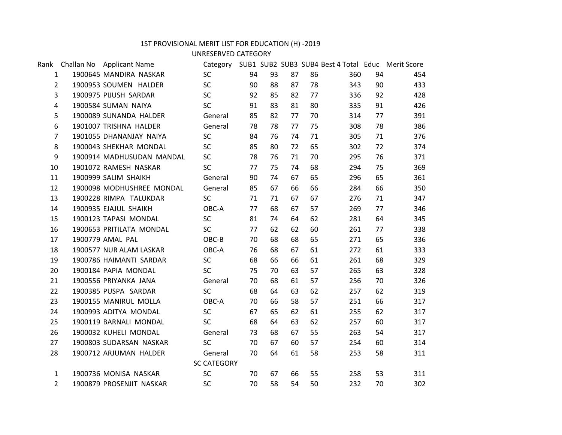## 1ST PROVISIONAL MERIT LIST FOR EDUCATION (H) -2019

UNRESERVED CATEGORY

|                   | Rank Challan No Applicant Name | Category  SUB1 SUB2 SUB3 SUB4 Best 4 Total    Educ    Merit Score |    |    |    |    |     |    |     |  |
|-------------------|--------------------------------|-------------------------------------------------------------------|----|----|----|----|-----|----|-----|--|
| $\mathbf{1}$      | 1900645 MANDIRA NASKAR         | SC                                                                | 94 | 93 | 87 | 86 | 360 | 94 | 454 |  |
| $2^{\circ}$       | 1900953 SOUMEN HALDER          | SC                                                                | 90 | 88 | 87 | 78 | 343 | 90 | 433 |  |
| $\overline{3}$    | 1900975 PIJUSH SARDAR          | <b>SC</b>                                                         | 92 | 85 | 82 | 77 | 336 | 92 | 428 |  |
| 4                 | 1900584 SUMAN NAIYA            | <b>SC</b>                                                         | 91 | 83 | 81 | 80 | 335 | 91 | 426 |  |
| 5                 | 1900089 SUNANDA HALDER         | General                                                           | 85 | 82 | 77 | 70 | 314 | 77 | 391 |  |
| 6                 | 1901007 TRISHNA HALDER         | General                                                           | 78 | 78 | 77 | 75 | 308 | 78 | 386 |  |
| $7\overline{ }$   | 1901055 DHANANJAY NAIYA        | <b>SC</b>                                                         | 84 | 76 | 74 | 71 | 305 | 71 | 376 |  |
| 8                 | 1900043 SHEKHAR MONDAL         | SC                                                                | 85 | 80 | 72 | 65 | 302 | 72 | 374 |  |
| 9                 | 1900914 MADHUSUDAN MANDAL      | SC                                                                | 78 | 76 | 71 | 70 | 295 | 76 | 371 |  |
| 10                | 1901072 RAMESH NASKAR          | SC                                                                | 77 | 75 | 74 | 68 | 294 | 75 | 369 |  |
| 11                | 1900999 SALIM SHAIKH           | General                                                           | 90 | 74 | 67 | 65 | 296 | 65 | 361 |  |
| $12 \overline{ }$ | 1900098 MODHUSHREE MONDAL      | General                                                           | 85 | 67 | 66 | 66 | 284 | 66 | 350 |  |
| 13                | 1900228 RIMPA TALUKDAR         | <b>SC</b>                                                         | 71 | 71 | 67 | 67 | 276 | 71 | 347 |  |
| 14                | 1900935 EJAJUL SHAIKH          | OBC-A                                                             | 77 | 68 | 67 | 57 | 269 | 77 | 346 |  |
| 15                | 1900123 TAPASI MONDAL          | SC                                                                | 81 | 74 | 64 | 62 | 281 | 64 | 345 |  |
| 16                | 1900653 PRITILATA MONDAL       | SC                                                                | 77 | 62 | 62 | 60 | 261 | 77 | 338 |  |
| 17                | 1900779 AMAL PAL               | $OBC-B$                                                           | 70 | 68 | 68 | 65 | 271 | 65 | 336 |  |
| 18                | 1900577 NUR ALAM LASKAR        | OBC-A                                                             | 76 | 68 | 67 | 61 | 272 | 61 | 333 |  |
| 19                | 1900786 HAIMANTI SARDAR        | <b>SC</b>                                                         | 68 | 66 | 66 | 61 | 261 | 68 | 329 |  |
| 20                | 1900184 PAPIA MONDAL           | SC                                                                | 75 | 70 | 63 | 57 | 265 | 63 | 328 |  |
| 21                | 1900556 PRIYANKA JANA          | General                                                           | 70 | 68 | 61 | 57 | 256 | 70 | 326 |  |
| 22                | 1900385 PUSPA SARDAR           | SC                                                                | 68 | 64 | 63 | 62 | 257 | 62 | 319 |  |
| 23                | 1900155 MANIRUL MOLLA          | OBC-A                                                             | 70 | 66 | 58 | 57 | 251 | 66 | 317 |  |
| 24                | 1900993 ADITYA MONDAL          | <b>SC</b>                                                         | 67 | 65 | 62 | 61 | 255 | 62 | 317 |  |
| 25                | 1900119 BARNALI MONDAL         | <b>SC</b>                                                         | 68 | 64 | 63 | 62 | 257 | 60 | 317 |  |
| 26                | 1900032 KUHELI MONDAL          | General                                                           | 73 | 68 | 67 | 55 | 263 | 54 | 317 |  |
| 27                | 1900803 SUDARSAN NASKAR        | <b>SC</b>                                                         | 70 | 67 | 60 | 57 | 254 | 60 | 314 |  |
| 28                | 1900712 ARJUMAN HALDER         | General                                                           | 70 | 64 | 61 | 58 | 253 | 58 | 311 |  |
|                   |                                | <b>SC CATEGORY</b>                                                |    |    |    |    |     |    |     |  |
| $\mathbf{1}$      | 1900736 MONISA NASKAR          | <b>SC</b>                                                         | 70 | 67 | 66 | 55 | 258 | 53 | 311 |  |
| $\overline{2}$    | 1900879 PROSENJIT NASKAR       | <b>SC</b>                                                         | 70 | 58 | 54 | 50 | 232 | 70 | 302 |  |